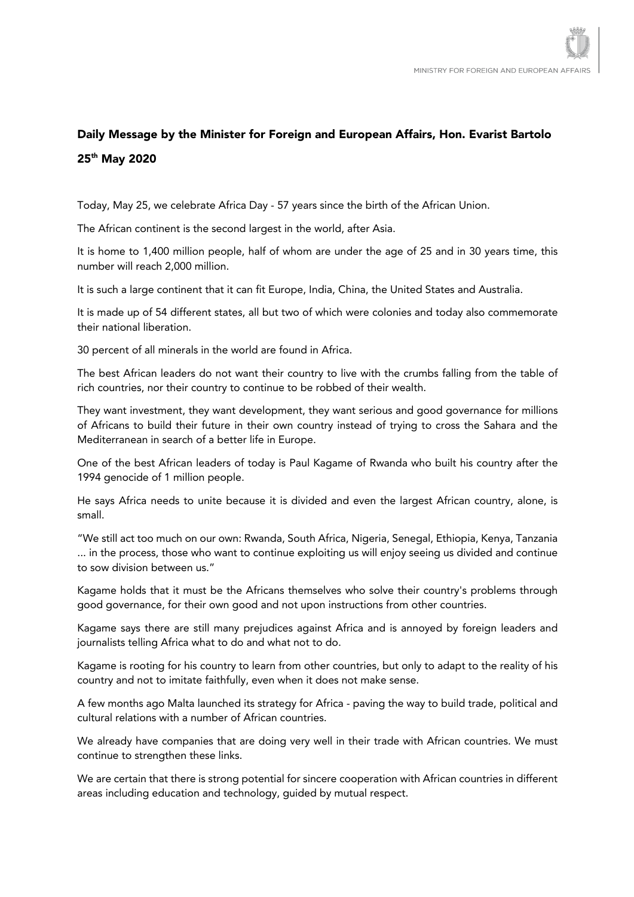## Daily Message by the Minister for Foreign and European Affairs, Hon. Evarist Bartolo 25th May 2020

Today, May 25, we celebrate Africa Day - 57 years since the birth of the African Union.

The African continent is the second largest in the world, after Asia.

It is home to 1,400 million people, half of whom are under the age of 25 and in 30 years time, this number will reach 2,000 million.

It is such a large continent that it can fit Europe, India, China, the United States and Australia.

It is made up of 54 different states, all but two of which were colonies and today also commemorate their national liberation.

30 percent of all minerals in the world are found in Africa.

The best African leaders do not want their country to live with the crumbs falling from the table of rich countries, nor their country to continue to be robbed of their wealth.

They want investment, they want development, they want serious and good governance for millions of Africans to build their future in their own country instead of trying to cross the Sahara and the Mediterranean in search of a better life in Europe.

One of the best African leaders of today is Paul Kagame of Rwanda who built his country after the 1994 genocide of 1 million people.

He says Africa needs to unite because it is divided and even the largest African country, alone, is small.

"We still act too much on our own: Rwanda, South Africa, Nigeria, Senegal, Ethiopia, Kenya, Tanzania ... in the process, those who want to continue exploiting us will enjoy seeing us divided and continue to sow division between us."

Kagame holds that it must be the Africans themselves who solve their country's problems through good governance, for their own good and not upon instructions from other countries.

Kagame says there are still many prejudices against Africa and is annoyed by foreign leaders and journalists telling Africa what to do and what not to do.

Kagame is rooting for his country to learn from other countries, but only to adapt to the reality of his country and not to imitate faithfully, even when it does not make sense.

A few months ago Malta launched its strategy for Africa - paving the way to build trade, political and cultural relations with a number of African countries.

We already have companies that are doing very well in their trade with African countries. We must continue to strengthen these links.

We are certain that there is strong potential for sincere cooperation with African countries in different areas including education and technology, guided by mutual respect.